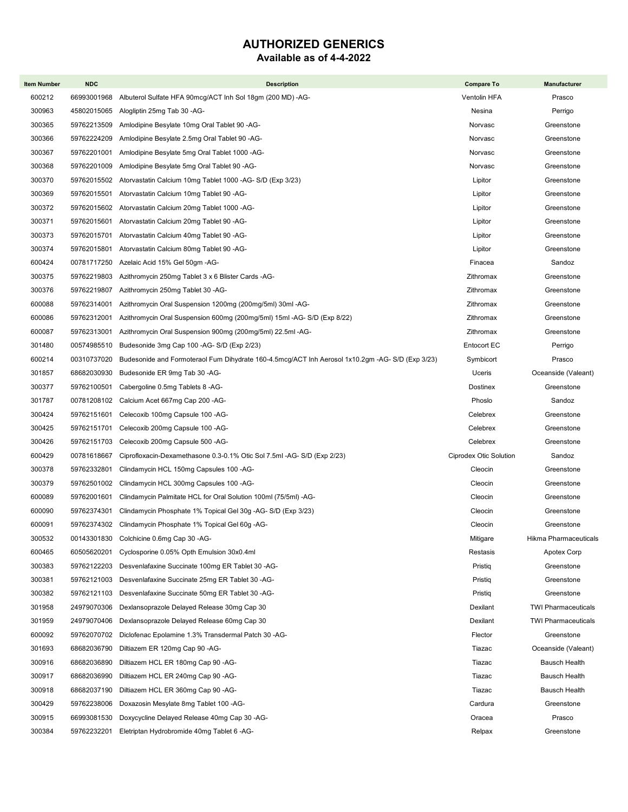## AUTHORIZED GENERICS

#### Available as of 4-4-2022

| <b>Item Number</b> | <b>NDC</b>                 | <b>Description</b>                                                                               | <b>Compare To</b>      | <b>Manufacturer</b>        |
|--------------------|----------------------------|--------------------------------------------------------------------------------------------------|------------------------|----------------------------|
| 600212             | 66993001968                | Albuterol Sulfate HFA 90mcg/ACT Inh Sol 18gm (200 MD) -AG-                                       | Ventolin HFA           | Prasco                     |
| 300963             | 45802015065                | Alogliptin 25mg Tab 30 -AG-                                                                      | Nesina                 | Perrigo                    |
| 300365             | 59762213509                | Amlodipine Besylate 10mg Oral Tablet 90 -AG-                                                     | Norvasc                | Greenstone                 |
| 300366             | 59762224209                | Amlodipine Besylate 2.5mg Oral Tablet 90 -AG-                                                    | Norvasc                | Greenstone                 |
| 300367             | 59762201001                | Amlodipine Besylate 5mg Oral Tablet 1000 -AG-                                                    | Norvasc                | Greenstone                 |
| 300368             | 59762201009                | Amlodipine Besylate 5mg Oral Tablet 90 -AG-                                                      | Norvasc                | Greenstone                 |
| 300370             | 59762015502                | Atorvastatin Calcium 10mg Tablet 1000 - AG- S/D (Exp 3/23)                                       | Lipitor                | Greenstone                 |
| 300369             | 59762015501                | Atorvastatin Calcium 10mg Tablet 90 -AG-                                                         | Lipitor                | Greenstone                 |
| 300372             | 59762015602                | Atorvastatin Calcium 20mg Tablet 1000 -AG-                                                       | Lipitor                | Greenstone                 |
| 300371             | 59762015601                | Atorvastatin Calcium 20mg Tablet 90 -AG-                                                         | Lipitor                | Greenstone                 |
| 300373             | 59762015701                | Atorvastatin Calcium 40mg Tablet 90 -AG-                                                         | Lipitor                | Greenstone                 |
| 300374             | 59762015801                | Atorvastatin Calcium 80mg Tablet 90 -AG-                                                         | Lipitor                | Greenstone                 |
| 600424             | 00781717250                | Azelaic Acid 15% Gel 50gm -AG-                                                                   | Finacea                | Sandoz                     |
| 300375             | 59762219803                | Azithromycin 250mg Tablet 3 x 6 Blister Cards -AG-                                               | Zithromax              | Greenstone                 |
| 300376             | 59762219807                | Azithromycin 250mg Tablet 30 -AG-                                                                | Zithromax              | Greenstone                 |
| 600088             | 59762314001                | Azithromycin Oral Suspension 1200mg (200mg/5ml) 30ml -AG-                                        | Zithromax              | Greenstone                 |
| 600086             | 59762312001                | Azithromycin Oral Suspension 600mg (200mg/5ml) 15ml -AG- S/D (Exp 8/22)                          | Zithromax              | Greenstone                 |
| 600087             | 59762313001                | Azithromycin Oral Suspension 900mg (200mg/5ml) 22.5ml -AG-                                       | Zithromax              | Greenstone                 |
| 301480             | 00574985510                | Budesonide 3mg Cap 100 - AG- S/D (Exp 2/23)                                                      | <b>Entocort EC</b>     | Perrigo                    |
| 600214             | 00310737020                | Budesonide and Formoteraol Fum Dihydrate 160-4.5mcg/ACT Inh Aerosol 1x10.2gm -AG- S/D (Exp 3/23) | Symbicort              | Prasco                     |
| 301857             | 68682030930                | Budesonide ER 9mg Tab 30 -AG-                                                                    | Uceris                 | Oceanside (Valeant)        |
| 300377             | 59762100501                | Cabergoline 0.5mg Tablets 8 -AG-                                                                 | Dostinex               | Greenstone                 |
| 301787             | 00781208102                | Calcium Acet 667mg Cap 200 -AG-                                                                  | Phoslo                 | Sandoz                     |
| 300424             | 59762151601                | Celecoxib 100mg Capsule 100 -AG-                                                                 | Celebrex               | Greenstone                 |
| 300425             | 59762151701                | Celecoxib 200mg Capsule 100 -AG-                                                                 | Celebrex               | Greenstone                 |
| 300426             | 59762151703                | Celecoxib 200mg Capsule 500 -AG-                                                                 | Celebrex               | Greenstone                 |
| 600429             | 00781618667                | Ciprofloxacin-Dexamethasone 0.3-0.1% Otic Sol 7.5ml -AG- S/D (Exp 2/23)                          | Ciprodex Otic Solution | Sandoz                     |
| 300378             | 59762332801                | Clindamycin HCL 150mg Capsules 100 -AG-                                                          | Cleocin                | Greenstone                 |
| 300379             | 59762501002                | Clindamycin HCL 300mg Capsules 100 -AG-                                                          | Cleocin                | Greenstone                 |
| 600089             | 59762001601                | Clindamycin Palmitate HCL for Oral Solution 100ml (75/5ml) -AG-                                  | Cleocin                | Greenstone                 |
| 600090             | 59762374301                | Clindamycin Phosphate 1% Topical Gel 30g -AG- S/D (Exp 3/23)                                     | Cleocin                | Greenstone                 |
| 600091             |                            | 59762374302 Clindamycin Phosphate 1% Topical Gel 60g -AG-                                        | Cleocin                | Greenstone                 |
| 300532             | 00143301830                | Colchicine 0.6mg Cap 30 -AG-                                                                     | Mitigare               | Hikma Pharmaceuticals      |
| 600465             | 60505620201                | Cyclosporine 0.05% Opth Emulsion 30x0.4ml                                                        | Restasis               | Apotex Corp                |
| 300383             | 59762122203                | Desvenlafaxine Succinate 100mg ER Tablet 30 -AG-                                                 | Pristig                | Greenstone                 |
| 300381             | 59762121003                | Desvenlafaxine Succinate 25mg ER Tablet 30 -AG-                                                  | Pristiq                | Greenstone                 |
| 300382             | 59762121103                | Desvenlafaxine Succinate 50mg ER Tablet 30 -AG-                                                  | Pristiq                | Greenstone                 |
| 301958             | 24979070306                | Dexlansoprazole Delayed Release 30mg Cap 30                                                      | Dexilant               | <b>TWI Pharmaceuticals</b> |
| 301959             | 24979070406                | Dexlansoprazole Delayed Release 60mg Cap 30                                                      | Dexilant               | <b>TWI Pharmaceuticals</b> |
| 600092             | 59762070702                | Diclofenac Epolamine 1.3% Transdermal Patch 30 -AG-                                              | Flector                | Greenstone                 |
| 301693             | 68682036790                | Diltiazem ER 120mg Cap 90 -AG-                                                                   | Tiazac                 | Oceanside (Valeant)        |
| 300916             | 68682036890                | Diltiazem HCL ER 180mg Cap 90 -AG-                                                               | Tiazac                 | <b>Bausch Health</b>       |
| 300917             | 68682036990                | Diltiazem HCL ER 240mg Cap 90 -AG-                                                               | Tiazac                 | Bausch Health              |
| 300918             | 68682037190                | Diltiazem HCL ER 360mg Cap 90 - AG-                                                              | Tiazac                 | Bausch Health              |
| 300429             | 59762238006                | Doxazosin Mesylate 8mg Tablet 100 -AG-                                                           | Cardura                | Greenstone                 |
| 300915<br>300384   | 66993081530<br>59762232201 | Doxycycline Delayed Release 40mg Cap 30 -AG-                                                     | Oracea                 | Prasco<br>Greenstone       |
|                    |                            | Eletriptan Hydrobromide 40mg Tablet 6 -AG-                                                       | Relpax                 |                            |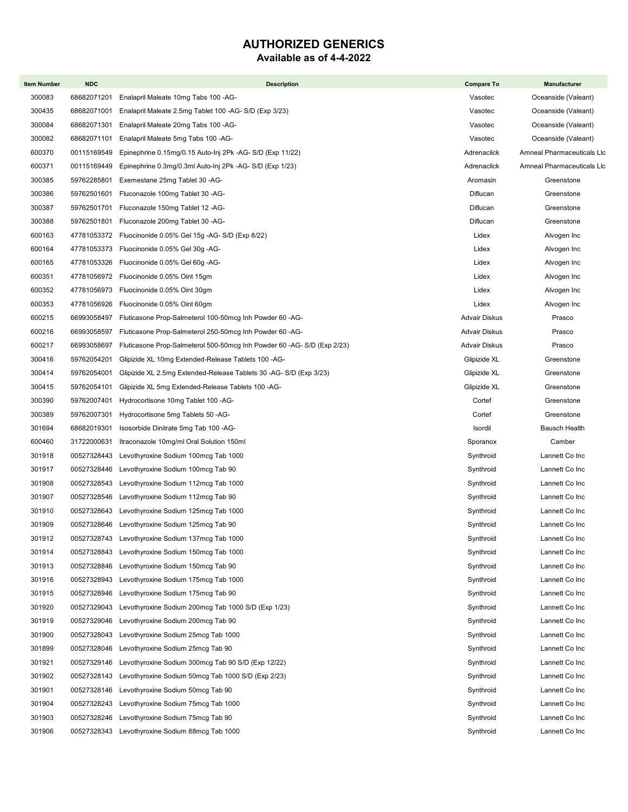## AUTHORIZED GENERICS

#### Available as of 4-4-2022

| <b>Item Number</b> | <b>NDC</b>                 | <b>Description</b>                                                       | <b>Compare To</b>      | Manufacturer                     |
|--------------------|----------------------------|--------------------------------------------------------------------------|------------------------|----------------------------------|
| 300083             | 68682071201                | Enalapril Maleate 10mg Tabs 100 -AG-                                     | Vasotec                | Oceanside (Valeant)              |
| 300435             | 68682071001                | Enalapril Maleate 2.5mg Tablet 100 -AG- S/D (Exp 3/23)                   | Vasotec                | Oceanside (Valeant)              |
| 300084             | 68682071301                | Enalapril Maleate 20mg Tabs 100 -AG-                                     | Vasotec                | Oceanside (Valeant)              |
| 300082             | 68682071101                | Enalapril Maleate 5mg Tabs 100 -AG-                                      | Vasotec                | Oceanside (Valeant)              |
| 600370             | 00115169549                | Epinephrine 0.15mg/0.15 Auto-Inj 2Pk -AG- S/D (Exp 11/22)                | Adrenaclick            | Amneal Pharmaceuticals Llc       |
| 600371             | 00115169449                | Epinephrine 0.3mg/0.3ml Auto-Inj 2Pk -AG- S/D (Exp 1/23)                 | Adrenaclick            | Amneal Pharmaceuticals Llc       |
| 300385             | 59762285801                | Exemestane 25mg Tablet 30 -AG-                                           | Aromasin               | Greenstone                       |
| 300386             | 59762501601                | Fluconazole 100mg Tablet 30 -AG-                                         | Diflucan               | Greenstone                       |
| 300387             | 59762501701                | Fluconazole 150mg Tablet 12 -AG-                                         | Diflucan               | Greenstone                       |
| 300388             | 59762501801                | Fluconazole 200mg Tablet 30 -AG-                                         | Diflucan               | Greenstone                       |
| 600163             | 47781053372                | Fluocinonide 0.05% Gel 15g -AG- S/D (Exp 8/22)                           | Lidex                  | Alvogen Inc                      |
| 600164             | 47781053373                | Fluocinonide 0.05% Gel 30g -AG-                                          | Lidex                  | Alvogen Inc                      |
| 600165             | 47781053326                | Fluocinonide 0.05% Gel 60g -AG-                                          | Lidex                  | Alvogen Inc                      |
| 600351             |                            | 47781056972 Fluocinonide 0.05% Oint 15qm                                 | Lidex                  | Alvogen Inc                      |
| 600352             | 47781056973                | Fluocinonide 0.05% Oint 30gm                                             | Lidex                  | Alvogen Inc                      |
| 600353             | 47781056926                | Fluocinonide 0.05% Oint 60gm                                             | Lidex                  | Alvogen Inc                      |
| 600215             | 66993058497                | Fluticasone Prop-Salmeterol 100-50mcg Inh Powder 60 -AG-                 | Advair Diskus          | Prasco                           |
| 600216             | 66993058597                | Fluticasone Prop-Salmeterol 250-50mcg Inh Powder 60 -AG-                 | Advair Diskus          | Prasco                           |
| 600217             | 66993058697                | Fluticasone Prop-Salmeterol 500-50mcg Inh Powder 60 -AG- S/D (Exp 2/23)  | Advair Diskus          | Prasco                           |
| 300416             | 59762054201                | Glipizide XL 10mg Extended-Release Tablets 100 -AG-                      | Glipizide XL           | Greenstone                       |
| 300414             | 59762054001                | Glipizide XL 2.5mg Extended-Release Tablets 30 -AG- S/D (Exp 3/23)       | Glipizide XL           | Greenstone                       |
| 300415             | 59762054101                | Glipizide XL 5mg Extended-Release Tablets 100 -AG-                       | Glipizide XL           | Greenstone                       |
| 300390             | 59762007401                | Hydrocortisone 10mg Tablet 100 -AG-                                      | Cortef                 | Greenstone                       |
| 300389             | 59762007301                | Hydrocortisone 5mg Tablets 50 -AG-                                       | Cortef                 | Greenstone                       |
| 301694             | 68682019301                | Isosorbide Dinitrate 5mg Tab 100 -AG-                                    | Isordil                | <b>Bausch Health</b>             |
| 600460             | 31722000631                | Itraconazole 10mg/ml Oral Solution 150ml                                 | Sporanox               | Camber                           |
| 301918             | 00527328443                | Levothyroxine Sodium 100mcg Tab 1000                                     | Synthroid              | Lannett Co Inc                   |
| 301917             | 00527328446                | Levothyroxine Sodium 100mcg Tab 90                                       | Synthroid              | Lannett Co Inc                   |
| 301908             | 00527328543                | Levothyroxine Sodium 112mcg Tab 1000                                     | Synthroid              | Lannett Co Inc                   |
| 301907             | 00527328546                | Levothyroxine Sodium 112mcg Tab 90                                       | Synthroid              | Lannett Co Inc                   |
| 301910             | 00527328643                | Levothyroxine Sodium 125mcg Tab 1000                                     | Synthroid              | Lannett Co Inc                   |
| 301909             |                            | 00527328646 Levothyroxine Sodium 125mcq Tab 90                           | Synthroid              | Lannett Co Inc                   |
| 301912             | 00527328743                | Levothyroxine Sodium 137mcg Tab 1000                                     | Synthroid              | Lannett Co Inc                   |
| 301914             | 00527328843                | Levothyroxine Sodium 150mcg Tab 1000                                     | Synthroid              | Lannett Co Inc                   |
| 301913             | 00527328846                | Levothyroxine Sodium 150mcg Tab 90                                       | Synthroid              | Lannett Co Inc                   |
| 301916             | 00527328943                | Levothyroxine Sodium 175mcg Tab 1000                                     | Synthroid              | Lannett Co Inc                   |
| 301915             | 00527328946                | Levothyroxine Sodium 175mcg Tab 90                                       | Synthroid              | Lannett Co Inc                   |
| 301920             | 00527329043                | Levothyroxine Sodium 200mcg Tab 1000 S/D (Exp 1/23)                      | Synthroid              | Lannett Co Inc                   |
| 301919             | 00527329046                | Levothyroxine Sodium 200mcg Tab 90                                       | Synthroid              | Lannett Co Inc                   |
| 301900             | 00527328043                | Levothyroxine Sodium 25mcg Tab 1000                                      | Synthroid              | Lannett Co Inc                   |
| 301899             | 00527328046                | Levothyroxine Sodium 25mcg Tab 90                                        | Synthroid              | Lannett Co Inc                   |
| 301921             | 00527329146                | Levothyroxine Sodium 300mcg Tab 90 S/D (Exp 12/22)                       | Synthroid              | Lannett Co Inc                   |
| 301902             | 00527328143                | Levothyroxine Sodium 50mcg Tab 1000 S/D (Exp 2/23)                       | Synthroid              | Lannett Co Inc                   |
| 301901<br>301904   | 00527328146                | Levothyroxine Sodium 50mcg Tab 90                                        | Synthroid<br>Synthroid | Lannett Co Inc<br>Lannett Co Inc |
| 301903             | 00527328243<br>00527328246 | Levothyroxine Sodium 75mcg Tab 1000                                      |                        | Lannett Co Inc                   |
| 301906             | 00527328343                | Levothyroxine Sodium 75mcg Tab 90<br>Levothyroxine Sodium 88mcg Tab 1000 | Synthroid<br>Synthroid | Lannett Co Inc                   |
|                    |                            |                                                                          |                        |                                  |